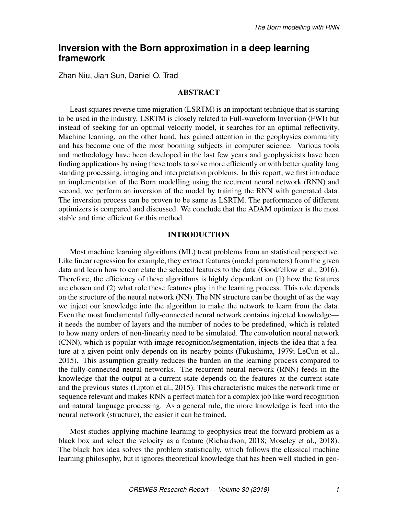# **Inversion with the Born approximation in a deep learning framework**

Zhan Niu, Jian Sun, Daniel O. Trad

### ABSTRACT

Least squares reverse time migration (LSRTM) is an important technique that is starting to be used in the industry. LSRTM is closely related to Full-waveform Inversion (FWI) but instead of seeking for an optimal velocity model, it searches for an optimal reflectivity. Machine learning, on the other hand, has gained attention in the geophysics community and has become one of the most booming subjects in computer science. Various tools and methodology have been developed in the last few years and geophysicists have been finding applications by using these tools to solve more efficiently or with better quality long standing processing, imaging and interpretation problems. In this report, we first introduce an implementation of the Born modelling using the recurrent neural network (RNN) and second, we perform an inversion of the model by training the RNN with generated data. The inversion process can be proven to be same as LSRTM. The performance of different optimizers is compared and discussed. We conclude that the ADAM optimizer is the most stable and time efficient for this method.

### INTRODUCTION

Most machine learning algorithms (ML) treat problems from an statistical perspective. Like linear regression for example, they extract features (model parameters) from the given data and learn how to correlate the selected features to the data (Goodfellow et al., 2016). Therefore, the efficiency of these algorithms is highly dependent on (1) how the features are chosen and (2) what role these features play in the learning process. This role depends on the structure of the neural network (NN). The NN structure can be thought of as the way we inject our knowledge into the algorithm to make the network to learn from the data. Even the most fundamental fully-connected neural network contains injected knowledge it needs the number of layers and the number of nodes to be predefined, which is related to how many orders of non-linearity need to be simulated. The convolution neural network (CNN), which is popular with image recognition/segmentation, injects the idea that a feature at a given point only depends on its nearby points (Fukushima, 1979; LeCun et al., 2015). This assumption greatly reduces the burden on the learning process compared to the fully-connected neural networks. The recurrent neural network (RNN) feeds in the knowledge that the output at a current state depends on the features at the current state and the previous states (Lipton et al., 2015). This characteristic makes the network time or sequence relevant and makes RNN a perfect match for a complex job like word recognition and natural language processing. As a general rule, the more knowledge is feed into the neural network (structure), the easier it can be trained.

Most studies applying machine learning to geophysics treat the forward problem as a black box and select the velocity as a feature (Richardson, 2018; Moseley et al., 2018). The black box idea solves the problem statistically, which follows the classical machine learning philosophy, but it ignores theoretical knowledge that has been well studied in geo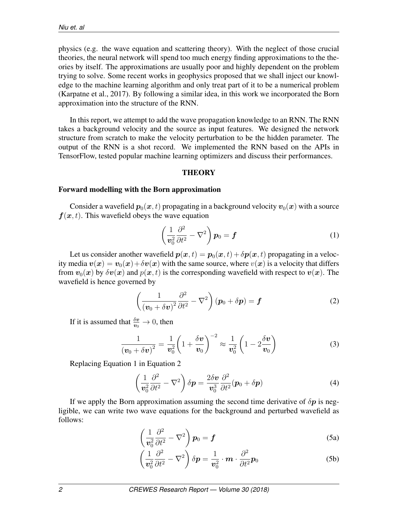physics (e.g. the wave equation and scattering theory). With the neglect of those crucial theories, the neural network will spend too much energy finding approximations to the theories by itself. The approximations are usually poor and highly dependent on the problem trying to solve. Some recent works in geophysics proposed that we shall inject our knowledge to the machine learning algorithm and only treat part of it to be a numerical problem (Karpatne et al., 2017). By following a similar idea, in this work we incorporated the Born approximation into the structure of the RNN.

In this report, we attempt to add the wave propagation knowledge to an RNN. The RNN takes a background velocity and the source as input features. We designed the network structure from scratch to make the velocity perturbation to be the hidden parameter. The output of the RNN is a shot record. We implemented the RNN based on the APIs in TensorFlow, tested popular machine learning optimizers and discuss their performances.

#### **THEORY**

#### Forward modelling with the Born approximation

Consider a wavefield  $p_0(x, t)$  propagating in a background velocity  $v_0(x)$  with a source  $f(x, t)$ . This wavefield obeys the wave equation

$$
\left(\frac{1}{\boldsymbol{v}_0^2}\frac{\partial^2}{\partial t^2} - \nabla^2\right)\boldsymbol{p}_0 = \boldsymbol{f}
$$
\n(1)

Let us consider another wavefield  $p(x, t) = p_0(x, t) + \delta p(x, t)$  propagating in a velocity media  $v(x) = v_0(x) + \delta v(x)$  with the same source, where  $v(x)$  is a velocity that differs from  $v_0(x)$  by  $\delta v(x)$  and  $p(x, t)$  is the corresponding wavefield with respect to  $v(x)$ . The wavefield is hence governed by

$$
\left(\frac{1}{(\boldsymbol{v}_0+\delta\boldsymbol{v})^2}\frac{\partial^2}{\partial t^2}-\nabla^2\right)(\boldsymbol{p}_0+\delta\boldsymbol{p})=\boldsymbol{f}\tag{2}
$$

If it is assumed that  $\frac{\delta v}{v_0} \to 0$ , then

$$
\frac{1}{(\boldsymbol{v}_0 + \delta \boldsymbol{v})^2} = \frac{1}{\boldsymbol{v}_0^2} \left( 1 + \frac{\delta \boldsymbol{v}}{\boldsymbol{v}_0} \right)^{-2} \approx \frac{1}{\boldsymbol{v}_0^2} \left( 1 - 2 \frac{\delta \boldsymbol{v}}{\boldsymbol{v}_0} \right)
$$
(3)

Replacing Equation 1 in Equation 2

$$
\left(\frac{1}{\boldsymbol{v}_0^2}\frac{\partial^2}{\partial t^2} - \nabla^2\right)\delta\boldsymbol{p} = \frac{2\delta\boldsymbol{v}}{\boldsymbol{v}_0^3}\frac{\partial^2}{\partial t^2}(\boldsymbol{p}_0 + \delta\boldsymbol{p})\tag{4}
$$

If we apply the Born approximation assuming the second time derivative of  $\delta p$  is negligible, we can write two wave equations for the background and perturbed wavefield as follows:

$$
\left(\frac{1}{\boldsymbol{v}_0^2}\frac{\partial^2}{\partial t^2} - \nabla^2\right)\boldsymbol{p}_0 = \boldsymbol{f}
$$
\n(5a)

$$
\left(\frac{1}{\boldsymbol{v}_0^2}\frac{\partial^2}{\partial t^2} - \nabla^2\right)\delta\boldsymbol{p} = \frac{1}{\boldsymbol{v}_0^2}\cdot\boldsymbol{m}\cdot\frac{\partial^2}{\partial t^2}\boldsymbol{p}_0\tag{5b}
$$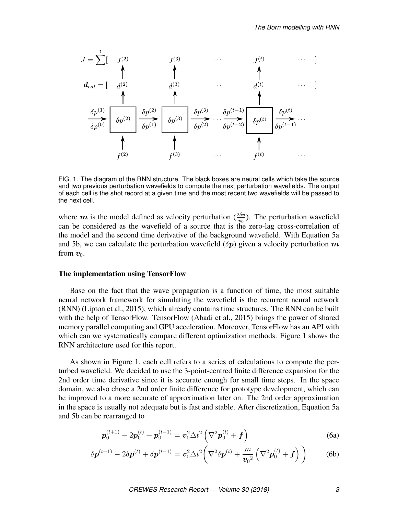

FIG. 1. The diagram of the RNN structure. The black boxes are neural cells which take the source and two previous perturbation wavefields to compute the next perturbation wavefields. The output of each cell is the shot record at a given time and the most recent two wavefields will be passed to the next cell.

where m is the model defined as velocity perturbation ( $\frac{2\delta v}{v_0}$ ). The perturbation wavefield can be considered as the wavefield of a source that is the zero-lag cross-correlation of the model and the second time derivative of the background wavefield. With Equation 5a and 5b, we can calculate the perturbation wavefield  $(\delta p)$  given a velocity perturbation m from  $v_0$ .

#### The implementation using TensorFlow

Base on the fact that the wave propagation is a function of time, the most suitable neural network framework for simulating the wavefield is the recurrent neural network (RNN) (Lipton et al., 2015), which already contains time structures. The RNN can be built with the help of TensorFlow. TensorFlow (Abadi et al., 2015) brings the power of shared memory parallel computing and GPU acceleration. Moreover, TensorFlow has an API with which can we systematically compare different optimization methods. Figure 1 shows the RNN architecture used for this report.

As shown in Figure 1, each cell refers to a series of calculations to compute the perturbed wavefield. We decided to use the 3-point-centred finite difference expansion for the 2nd order time derivative since it is accurate enough for small time steps. In the space domain, we also chose a 2nd order finite difference for prototype development, which can be improved to a more accurate of approximation later on. The 2nd order approximation in the space is usually not adequate but is fast and stable. After discretization, Equation 5a and 5b can be rearranged to

$$
\boldsymbol{p}_0^{(t+1)} - 2\boldsymbol{p}_0^{(t)} + \boldsymbol{p}_0^{(t-1)} = \boldsymbol{v}_0^2 \Delta t^2 \left( \nabla^2 \boldsymbol{p}_0^{(t)} + \boldsymbol{f} \right)
$$
(6a)

$$
\delta \boldsymbol{p}^{(t+1)} - 2\delta \boldsymbol{p}^{(t)} + \delta \boldsymbol{p}^{(t-1)} = \boldsymbol{v}_0^2 \Delta t^2 \bigg( \nabla^2 \delta \boldsymbol{p}^{(t)} + \frac{m}{\boldsymbol{v}_0^2} \left( \nabla^2 \boldsymbol{p}_0^{(t)} + \boldsymbol{f} \right) \bigg) \tag{6b}
$$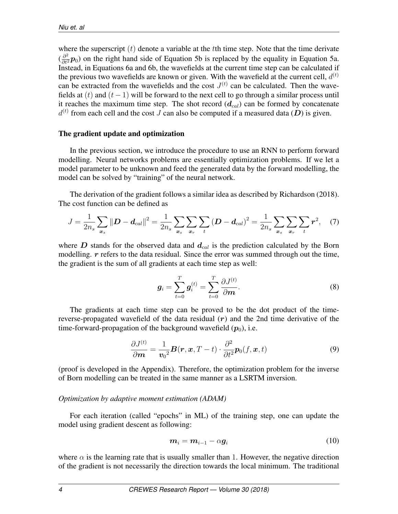where the superscript  $(t)$  denote a variable at the the time step. Note that the time derivate  $\left(\frac{\partial^2}{\partial t^2}\mathbf{p}_0\right)$  on the right hand side of Equation 5b is replaced by the equality in Equation 5a. Instead, in Equations 6a and 6b, the wavefields at the current time step can be calculated if the previous two wavefields are known or given. With the wavefield at the current cell,  $d^{(t)}$ can be extracted from the wavefields and the cost  $J<sup>(t)</sup>$  can be calculated. Then the wavefields at  $(t)$  and  $(t - 1)$  will be forward to the next cell to go through a similar process until it reaches the maximum time step. The shot record  $(d_{cal})$  can be formed by concatenate  $d^{(t)}$  from each cell and the cost J can also be computed if a measured data (D) is given.

#### The gradient update and optimization

In the previous section, we introduce the procedure to use an RNN to perform forward modelling. Neural networks problems are essentially optimization problems. If we let a model parameter to be unknown and feed the generated data by the forward modelling, the model can be solved by "training" of the neural network.

The derivation of the gradient follows a similar idea as described by Richardson (2018). The cost function can be defined as

$$
J = \frac{1}{2n_s} \sum_{x_s} ||D - d_{cal}||^2 = \frac{1}{2n_s} \sum_{x_s} \sum_{x_r} \sum_{t} (D - d_{cal})^2 = \frac{1}{2n_s} \sum_{x_s} \sum_{x_r} \sum_{t} r^2, \quad (7)
$$

where  $D$  stands for the observed data and  $d_{cal}$  is the prediction calculated by the Born modelling. r refers to the data residual. Since the error was summed through out the time, the gradient is the sum of all gradients at each time step as well:

$$
\boldsymbol{g}_i = \sum_{t=0}^T \boldsymbol{g}_i^{(t)} = \sum_{t=0}^T \frac{\partial J^{(t)}}{\partial \boldsymbol{m}}.
$$
 (8)

The gradients at each time step can be proved to be the dot product of the timereverse-propagated wavefield of the data residual  $(r)$  and the 2nd time derivative of the time-forward-propagation of the background wavefield  $(p_0)$ , i.e.

$$
\frac{\partial J^{(t)}}{\partial \mathbf{m}} = \frac{1}{\mathbf{v}_0^2} \mathbf{B}(\mathbf{r}, \mathbf{x}, T - t) \cdot \frac{\partial^2}{\partial t^2} \mathbf{p}_0(f, \mathbf{x}, t) \tag{9}
$$

(proof is developed in the Appendix). Therefore, the optimization problem for the inverse of Born modelling can be treated in the same manner as a LSRTM inversion.

#### *Optimization by adaptive moment estimation (ADAM)*

For each iteration (called "epochs" in ML) of the training step, one can update the model using gradient descent as following:

$$
\boldsymbol{m}_i = \boldsymbol{m}_{i-1} - \alpha \boldsymbol{g}_i \tag{10}
$$

where  $\alpha$  is the learning rate that is usually smaller than 1. However, the negative direction of the gradient is not necessarily the direction towards the local minimum. The traditional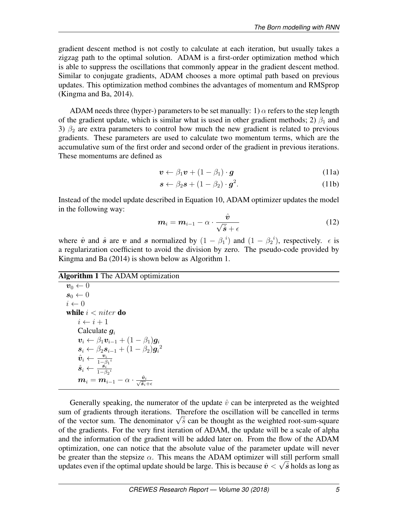gradient descent method is not costly to calculate at each iteration, but usually takes a zigzag path to the optimal solution. ADAM is a first-order optimization method which is able to suppress the oscillations that commonly appear in the gradient descent method. Similar to conjugate gradients, ADAM chooses a more optimal path based on previous updates. This optimization method combines the advantages of momentum and RMSprop (Kingma and Ba, 2014).

ADAM needs three (hyper-) parameters to be set manually: 1)  $\alpha$  refers to the step length of the gradient update, which is similar what is used in other gradient methods; 2)  $\beta_1$  and 3)  $\beta_2$  are extra parameters to control how much the new gradient is related to previous gradients. These parameters are used to calculate two momentum terms, which are the accumulative sum of the first order and second order of the gradient in previous iterations. These momentums are defined as

$$
\boldsymbol{v} \leftarrow \beta_1 \boldsymbol{v} + (1 - \beta_1) \cdot \boldsymbol{g} \tag{11a}
$$

$$
\mathbf{s} \leftarrow \beta_2 \mathbf{s} + (1 - \beta_2) \cdot \mathbf{g}^2. \tag{11b}
$$

Instead of the model update described in Equation 10, ADAM optimizer updates the model in the following way:

$$
\boldsymbol{m}_i = \boldsymbol{m}_{i-1} - \alpha \cdot \frac{\hat{\boldsymbol{v}}}{\sqrt{\hat{\boldsymbol{s}}} + \epsilon} \tag{12}
$$

where  $\hat{v}$  and  $\hat{s}$  are  $v$  and  $s$  normalized by  $(1 - \beta_1^i)$  and  $(1 - \beta_2^i)$ , respectively.  $\epsilon$  is a regularization coefficient to avoid the division by zero. The pseudo-code provided by Kingma and Ba (2014) is shown below as Algorithm 1.

#### Algorithm 1 The ADAM optimization

 $v_0 \leftarrow 0$  $s_0 \leftarrow 0$  $i \leftarrow 0$ while  $i < n$ iter do  $i \leftarrow i + 1$ Calculate  $q_i$  $\boldsymbol{v}_i \leftarrow \beta_1 \boldsymbol{v}_{i-1} + (1 - \beta_1) \boldsymbol{g}_i$  $\boldsymbol{s}_i \leftarrow \beta_2 \boldsymbol{s}_{i-1} + (1-\beta_2) \boldsymbol{g}_i{}^2$  $\hat{\bm{v}}_i \leftarrow \frac{\bm{v}_i}{1-\beta_1{}^i} \ \hat{\bm{s}}_i \leftarrow \frac{\bm{s}_i}{1-\beta_2{}^i}$  $\bm{m}_i = \bm{m}_{i-1} - \alpha \cdot \frac{\hat{\bm{v}}_i}{\sqrt{\hat{\bm{s}}_i} + \epsilon}$ 

Generally speaking, the numerator of the update  $\hat{v}$  can be interpreted as the weighted sum of gradients through iterations. Therefore the oscillation will be cancelled in terms sum of gradients through iterations. Therefore the oscillation will be cancelled in terms of the vector sum. The denominator  $\sqrt{\hat{s}}$  can be thought as the weighted root-sum-square of the gradients. For the very first iteration of ADAM, the update will be a scale of alpha and the information of the gradient will be added later on. From the flow of the ADAM optimization, one can notice that the absolute value of the parameter update will never be greater than the stepsize  $\alpha$ . This means the ADAM optimizer will still perform small updates even if the optimal update should be large. This is because  $\hat{v}<\sqrt{\hat s}$  holds as long as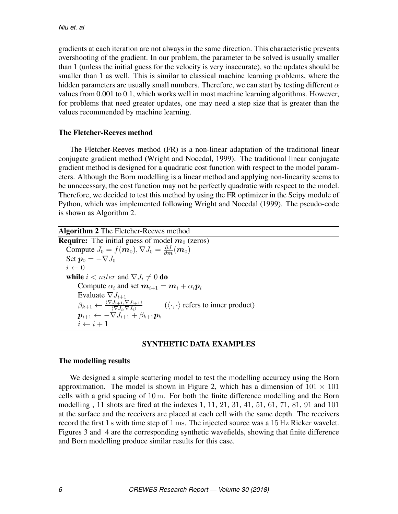gradients at each iteration are not always in the same direction. This characteristic prevents overshooting of the gradient. In our problem, the parameter to be solved is usually smaller than 1 (unless the initial guess for the velocity is very inaccurate), so the updates should be smaller than 1 as well. This is similar to classical machine learning problems, where the hidden parameters are usually small numbers. Therefore, we can start by testing different  $\alpha$ values from 0.001 to 0.1, which works well in most machine learning algorithms. However, for problems that need greater updates, one may need a step size that is greater than the values recommended by machine learning.

### The Fletcher-Reeves method

The Fletcher-Reeves method (FR) is a non-linear adaptation of the traditional linear conjugate gradient method (Wright and Nocedal, 1999). The traditional linear conjugate gradient method is designed for a quadratic cost function with respect to the model parameters. Although the Born modelling is a linear method and applying non-linearity seems to be unnecessary, the cost function may not be perfectly quadratic with respect to the model. Therefore, we decided to test this method by using the FR optimizer in the Scipy module of Python, which was implemented following Wright and Nocedal (1999). The pseudo-code is shown as Algorithm 2.

### Algorithm 2 The Fletcher-Reeves method

**Require:** The initial guess of model  $m_0$  (zeros) Compute  $J_0 = f(\mathbf{m}_0), \nabla J_0 = \frac{\partial J}{\partial \mathbf{m}}(\mathbf{m}_0)$ Set  $p_0 = -\nabla J_0$  $i \leftarrow 0$ while  $i < n$ iter and  $\nabla J_i \neq 0$  do Compute  $\alpha_i$  and set  $m_{i+1} = m_i + \alpha_i p_i$ Evaluate  $\nabla J_{i+1}$  $\beta_{k+1} \leftarrow \frac{\langle \nabla J_{i+1}, \nabla J_{i+1} \rangle}{\langle \nabla J_i, \nabla J_i \rangle}$  ( $\langle \cdot, \cdot \rangle$  refers to inner product)  $\boldsymbol{p}_{i+1} \leftarrow -\nabla J_{i+1} + \beta_{k+1} \boldsymbol{p}_k$  $i \leftarrow i + 1$ 

# SYNTHETIC DATA EXAMPLES

### The modelling results

We designed a simple scattering model to test the modelling accuracy using the Born approximation. The model is shown in Figure 2, which has a dimension of  $101 \times 101$ cells with a grid spacing of 10 m. For both the finite difference modelling and the Born modelling , 11 shots are fired at the indexes 1, 11, 21, 31, 41, 51, 61, 71, 81, 91 and 101 at the surface and the receivers are placed at each cell with the same depth. The receivers record the first 1 s with time step of 1 ms. The injected source was a 15 Hz Ricker wavelet. Figures 3 and 4 are the corresponding synthetic wavefields, showing that finite difference and Born modelling produce similar results for this case.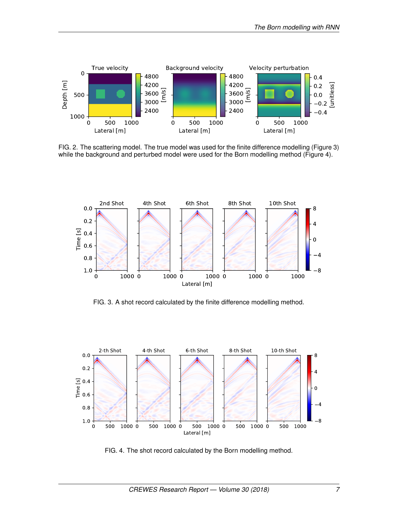

FIG. 2. The scattering model. The true model was used for the finite difference modelling (Figure 3) while the background and perturbed model were used for the Born modelling method (Figure 4).



FIG. 3. A shot record calculated by the finite difference modelling method.



FIG. 4. The shot record calculated by the Born modelling method.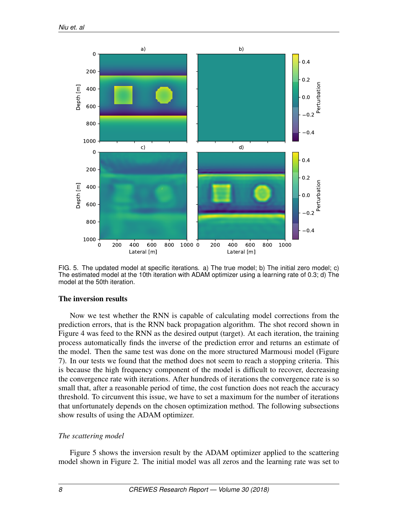

FIG. 5. The updated model at specific iterations. a) The true model; b) The initial zero model; c) The estimated model at the 10th iteration with ADAM optimizer using a learning rate of 0.3; d) The model at the 50th iteration.

### The inversion results

Now we test whether the RNN is capable of calculating model corrections from the prediction errors, that is the RNN back propagation algorithm. The shot record shown in Figure 4 was feed to the RNN as the desired output (target). At each iteration, the training process automatically finds the inverse of the prediction error and returns an estimate of the model. Then the same test was done on the more structured Marmousi model (Figure 7). In our tests we found that the method does not seem to reach a stopping criteria. This is because the high frequency component of the model is difficult to recover, decreasing the convergence rate with iterations. After hundreds of iterations the convergence rate is so small that, after a reasonable period of time, the cost function does not reach the accuracy threshold. To circunvent this issue, we have to set a maximum for the number of iterations that unfortunately depends on the chosen optimization method. The following subsections show results of using the ADAM optimizer.

### *The scattering model*

Figure 5 shows the inversion result by the ADAM optimizer applied to the scattering model shown in Figure 2. The initial model was all zeros and the learning rate was set to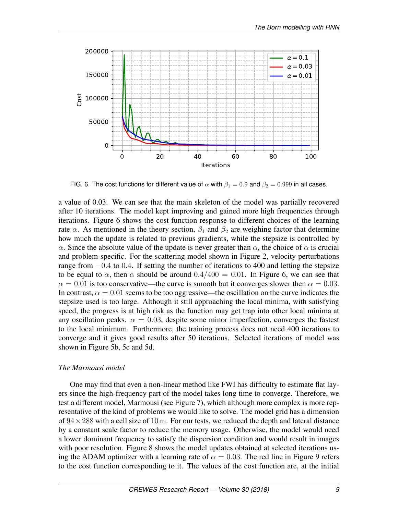

FIG. 6. The cost functions for different value of  $\alpha$  with  $\beta_1 = 0.9$  and  $\beta_2 = 0.999$  in all cases.

a value of 0.03. We can see that the main skeleton of the model was partially recovered after 10 iterations. The model kept improving and gained more high frequencies through iterations. Figure 6 shows the cost function response to different choices of the learning rate  $\alpha$ . As mentioned in the theory section,  $\beta_1$  and  $\beta_2$  are weighing factor that determine how much the update is related to previous gradients, while the stepsize is controlled by  $\alpha$ . Since the absolute value of the update is never greater than  $\alpha$ , the choice of  $\alpha$  is crucial and problem-specific. For the scattering model shown in Figure 2, velocity perturbations range from  $-0.4$  to 0.4. If setting the number of iterations to 400 and letting the stepsize to be equal to  $\alpha$ , then  $\alpha$  should be around  $0.4/400 = 0.01$ . In Figure 6, we can see that  $\alpha = 0.01$  is too conservative—the curve is smooth but it converges slower then  $\alpha = 0.03$ . In contrast,  $\alpha = 0.01$  seems to be too aggressive—the oscillation on the curve indicates the stepsize used is too large. Although it still approaching the local minima, with satisfying speed, the progress is at high risk as the function may get trap into other local minima at any oscillation peaks.  $\alpha = 0.03$ , despite some minor imperfection, converges the fastest to the local minimum. Furthermore, the training process does not need 400 iterations to converge and it gives good results after 50 iterations. Selected iterations of model was shown in Figure 5b, 5c and 5d.

#### *The Marmousi model*

One may find that even a non-linear method like FWI has difficulty to estimate flat layers since the high-frequency part of the model takes long time to converge. Therefore, we test a different model, Marmousi (see Figure 7), which although more complex is more representative of the kind of problems we would like to solve. The model grid has a dimension of  $94 \times 288$  with a cell size of 10 m. For our tests, we reduced the depth and lateral distance by a constant scale factor to reduce the memory usage. Otherwise, the model would need a lower dominant frequency to satisfy the dispersion condition and would result in images with poor resolution. Figure 8 shows the model updates obtained at selected iterations using the ADAM optimizer with a learning rate of  $\alpha = 0.03$ . The red line in Figure 9 refers to the cost function corresponding to it. The values of the cost function are, at the initial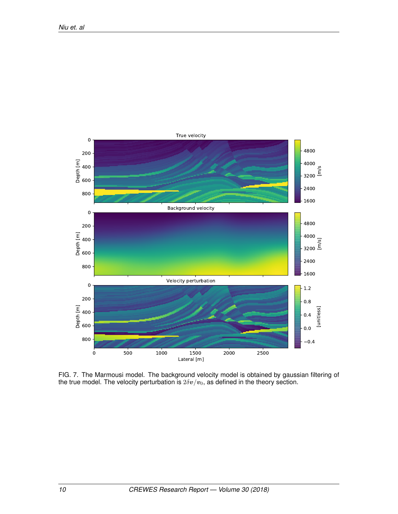

FIG. 7. The Marmousi model. The background velocity model is obtained by gaussian filtering of the true model. The velocity perturbation is  $2\delta v/v_0,$  as defined in the theory section.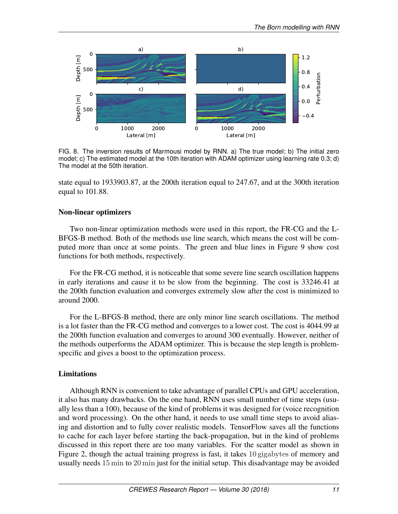

FIG. 8. The inversion results of Marmousi model by RNN. a) The true model; b) The initial zero model; c) The estimated model at the 10th iteration with ADAM optimizer using learning rate 0.3; d) The model at the 50th iteration.

state equal to 1933903.87, at the 200th iteration equal to 247.67, and at the 300th iteration equal to 101.88.

# Non-linear optimizers

Two non-linear optimization methods were used in this report, the FR-CG and the L-BFGS-B method. Both of the methods use line search, which means the cost will be computed more than once at some points. The green and blue lines in Figure 9 show cost functions for both methods, respectively.

For the FR-CG method, it is noticeable that some severe line search oscillation happens in early iterations and cause it to be slow from the beginning. The cost is 33246.41 at the 200th function evaluation and converges extremely slow after the cost is minimized to around 2000.

For the L-BFGS-B method, there are only minor line search oscillations. The method is a lot faster than the FR-CG method and converges to a lower cost. The cost is 4044.99 at the 200th function evaluation and converges to around 300 eventually. However, neither of the methods outperforms the ADAM optimizer. This is because the step length is problemspecific and gives a boost to the optimization process.

# Limitations

Although RNN is convenient to take advantage of parallel CPUs and GPU acceleration, it also has many drawbacks. On the one hand, RNN uses small number of time steps (usually less than a 100), because of the kind of problems it was designed for (voice recognition and word processing). On the other hand, it needs to use small time steps to avoid aliasing and distortion and to fully cover realistic models. TensorFlow saves all the functions to cache for each layer before starting the back-propagation, but in the kind of problems discussed in this report there are too many variables. For the scatter model as shown in Figure 2, though the actual training progress is fast, it takes 10 gigabytes of memory and usually needs 15 min to 20 min just for the initial setup. This disadvantage may be avoided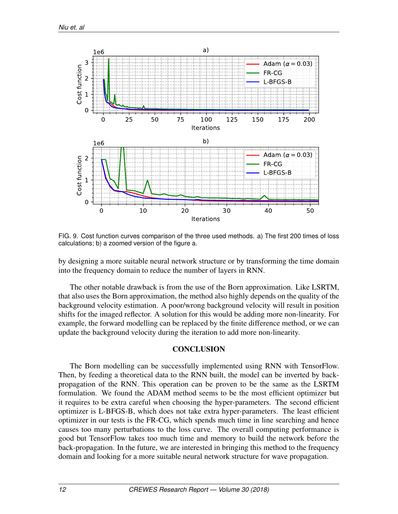

FIG. 9. Cost function curves comparison of the three used methods. a) The first 200 times of loss calculations; b) a zoomed version of the figure a.

by designing a more suitable neural network structure or by transforming the time domain into the frequency domain to reduce the number of layers in RNN.

The other notable drawback is from the use of the Born approximation. Like LSRTM, that also uses the Born approximation, the method also highly depends on the quality of the background velocity estimation. A poor/wrong background velocity will result in position shifts for the imaged reflector. A solution for this would be adding more non-linearity. For example, the forward modelling can be replaced by the finite difference method, or we can update the background velocity during the iteration to add more non-linearity.

#### **CONCLUSION**

The Born modelling can be successfully implemented using RNN with TensorFlow. Then, by feeding a theoretical data to the RNN built, the model can be inverted by backpropagation of the RNN. This operation can be proven to be the same as the LSRTM formulation. We found the ADAM method seems to be the most efficient optimizer but it requires to be extra careful when choosing the hyper-parameters. The second efficient optimizer is L-BFGS-B, which does not take extra hyper-parameters. The least efficient optimizer in our tests is the FR-CG, which spends much time in line searching and hence causes too many perturbations to the loss curve. The overall computing performance is good but TensorFlow takes too much time and memory to build the network before the back-propagation. In the future, we are interested in bringing this method to the frequency domain and looking for a more suitable neural network structure for wave propagation.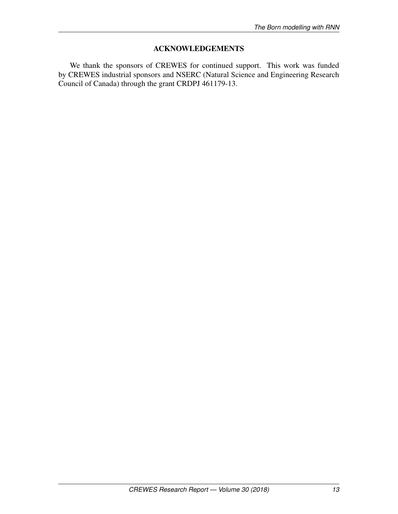# ACKNOWLEDGEMENTS

We thank the sponsors of CREWES for continued support. This work was funded by CREWES industrial sponsors and NSERC (Natural Science and Engineering Research Council of Canada) through the grant CRDPJ 461179-13.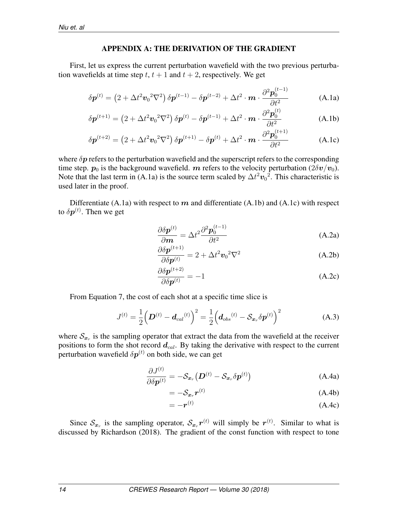#### APPENDIX A: THE DERIVATION OF THE GRADIENT

First, let us express the current perturbation wavefield with the two previous perturbation wavefields at time step  $t, t + 1$  and  $t + 2$ , respectively. We get

$$
\delta \boldsymbol{p}^{(t)} = \left(2 + \Delta t^2 \boldsymbol{v}_0^2 \nabla^2\right) \delta \boldsymbol{p}^{(t-1)} - \delta \boldsymbol{p}^{(t-2)} + \Delta t^2 \cdot \boldsymbol{m} \cdot \frac{\partial^2 \boldsymbol{p}_0^{(t-1)}}{\partial t^2}
$$
 (A.1a)

$$
\delta \boldsymbol{p}^{(t+1)} = \left(2 + \Delta t^2 \boldsymbol{v}_0^2 \nabla^2\right) \delta \boldsymbol{p}^{(t)} - \delta \boldsymbol{p}^{(t-1)} + \Delta t^2 \cdot \boldsymbol{m} \cdot \frac{\partial^2 \boldsymbol{p}_0^{(t)}}{\partial t^2}
$$
 (A.1b)

$$
\delta \boldsymbol{p}^{(t+2)} = \left(2 + \Delta t^2 \boldsymbol{v}_0^2 \nabla^2\right) \delta \boldsymbol{p}^{(t+1)} - \delta \boldsymbol{p}^{(t)} + \Delta t^2 \cdot \boldsymbol{m} \cdot \frac{\partial^2 \boldsymbol{p}_0^{(t+1)}}{\partial t^2}
$$
 (A.1c)

where  $\delta p$  refers to the perturbation wavefield and the superscript refers to the corresponding time step.  $p_0$  is the background wavefield. m refers to the velocity perturbation (2 $\delta v/v_0$ ). Note that the last term in (A.1a) is the source term scaled by  $\Delta t^2 v_0^2$ . This characteristic is used later in the proof.

Differentiate (A.1a) with respect to  $m$  and differentiate (A.1b) and (A.1c) with respect to  $\delta \boldsymbol{p}^{(t)}$ . Then we get

$$
\frac{\partial \delta \mathbf{p}^{(t)}}{\partial \mathbf{m}} = \Delta t^2 \frac{\partial^2 \mathbf{p}_0^{(t-1)}}{\partial t^2}
$$
 (A.2a)

$$
\frac{\partial \delta \mathbf{p}^{(t+1)}}{\partial \delta \mathbf{p}^{(t)}} = 2 + \Delta t^2 \mathbf{v}_0^2 \nabla^2
$$
 (A.2b)

$$
\frac{\partial \delta \mathbf{p}^{(t+2)}}{\partial \delta \mathbf{p}^{(t)}} = -1 \tag{A.2c}
$$

From Equation 7, the cost of each shot at a specific time slice is

$$
J^{(t)} = \frac{1}{2} \left( \mathbf{D}^{(t)} - \mathbf{d}_{cal}^{(t)} \right)^2 = \frac{1}{2} \left( \mathbf{d}_{obs}^{(t)} - \mathcal{S}_{\mathbf{x}_r} \delta \mathbf{p}^{(t)} \right)^2 \tag{A.3}
$$

where  $\mathcal{S}_{x_r}$  is the sampling operator that extract the data from the wavefield at the receiver positions to form the shot record  $d_{cal}$ . By taking the derivative with respect to the current perturbation wavefield  $\delta \boldsymbol{p}^{(t)}$  on both side, we can get

$$
\frac{\partial J^{(t)}}{\partial \delta \boldsymbol{p}^{(t)}} = -\mathcal{S}_{\boldsymbol{x}_r} \left( \boldsymbol{D}^{(t)} - \mathcal{S}_{\boldsymbol{x}_r} \delta \boldsymbol{p}^{(t)} \right)
$$
(A.4a)

$$
=-\mathcal{S}_{x_r}r^{(t)}\tag{A.4b}
$$

$$
=-r^{(t)}\tag{A.4c}
$$

Since  $S_{x_r}$  is the sampling operator,  $S_{x_r}r^{(t)}$  will simply be  $r^{(t)}$ . Similar to what is discussed by Richardson (2018). The gradient of the const function with respect to tone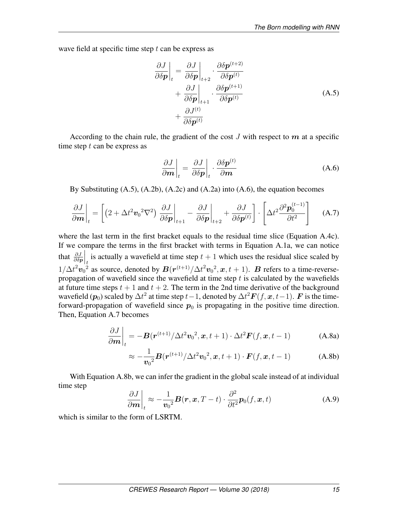wave field at specific time step  $t$  can be express as

$$
\frac{\partial J}{\partial \delta \boldsymbol{p}}\bigg|_{t} = \frac{\partial J}{\partial \delta \boldsymbol{p}}\bigg|_{t+2} \cdot \frac{\partial \delta \boldsymbol{p}^{(t+2)}}{\partial \delta \boldsymbol{p}^{(t)}} + \frac{\partial J}{\partial \delta \boldsymbol{p}}\bigg|_{t+1} \cdot \frac{\partial \delta \boldsymbol{p}^{(t+1)}}{\partial \delta \boldsymbol{p}^{(t)}}
$$
\n
$$
+ \frac{\partial J^{(t)}}{\partial \delta \boldsymbol{p}^{(t)}}
$$
\n(A.5)

According to the chain rule, the gradient of the cost  $J$  with respect to  $m$  at a specific time step  $t$  can be express as

$$
\left. \frac{\partial J}{\partial \mathbf{m}} \right|_{t} = \left. \frac{\partial J}{\partial \delta \mathbf{p}} \right|_{t} \cdot \frac{\partial \delta \mathbf{p}^{(t)}}{\partial \mathbf{m}} \tag{A.6}
$$

By Substituting (A.5), (A.2b), (A.2c) and (A.2a) into (A.6), the equation becomes

$$
\frac{\partial J}{\partial \mathbf{m}}\bigg|_{t} = \left[ \left( 2 + \Delta t^2 \mathbf{v}_0^2 \nabla^2 \right) \frac{\partial J}{\partial \delta \mathbf{p}} \bigg|_{t+1} - \frac{\partial J}{\partial \delta \mathbf{p}} \bigg|_{t+2} + \frac{\partial J}{\partial \delta \mathbf{p}^{(t)}} \right] \cdot \left[ \Delta t^2 \frac{\partial^2 \mathbf{p}_0^{(t-1)}}{\partial t^2} \right] \tag{A.7}
$$

where the last term in the first bracket equals to the residual time slice (Equation A.4c). If we compare the terms in the first bracket with terms in Equation A.1a, we can notice that  $\frac{\partial J}{\partial \delta p}$ is actually a wavefield at time step  $t + 1$  which uses the residual slice scaled by  $1/\Delta t^2 v_0^2$  as source, denoted by  $B(r^{(t+1)}/\Delta t^2 v_0^2, x, t+1)$ . B refers to a time-reversepropagation of wavefield since the wavefield at time step  $t$  is calculated by the wavefields at future time steps  $t + 1$  and  $t + 2$ . The term in the 2nd time derivative of the background wavefield  $(\bm{p}_0)$  scaled by  $\Delta t^2$  at time step  $t-1,$  denoted by  $\Delta t^2\bm{F}(f,\bm{x},t-1)$ .  $\bm{F}$  is the timeforward-propagation of wavefield since  $p_0$  is propagating in the positive time direction. Then, Equation A.7 becomes

$$
\left. \frac{\partial J}{\partial \mathbf{m}} \right|_{t} = -\mathbf{B}(\mathbf{r}^{(t+1)}/\Delta t^2 \mathbf{v}_0^2, \mathbf{x}, t+1) \cdot \Delta t^2 \mathbf{F}(f, \mathbf{x}, t-1)
$$
 (A.8a)

$$
\approx -\frac{1}{\mathbf{v}_0^2} \boldsymbol{B}(\boldsymbol{r}^{(t+1)}/\Delta t^2 \mathbf{v}_0^2, \boldsymbol{x}, t+1) \cdot \boldsymbol{F}(f, \boldsymbol{x}, t-1)
$$
 (A.8b)

With Equation A.8b, we can infer the gradient in the global scale instead of at individual time step

$$
\left. \frac{\partial J}{\partial \boldsymbol{m}} \right|_{t} \approx -\frac{1}{\boldsymbol{v}_{0}^{2}} \boldsymbol{B}(\boldsymbol{r}, \boldsymbol{x}, T - t) \cdot \frac{\partial^{2}}{\partial t^{2}} \boldsymbol{p}_{0}(f, \boldsymbol{x}, t) \tag{A.9}
$$

which is similar to the form of LSRTM.